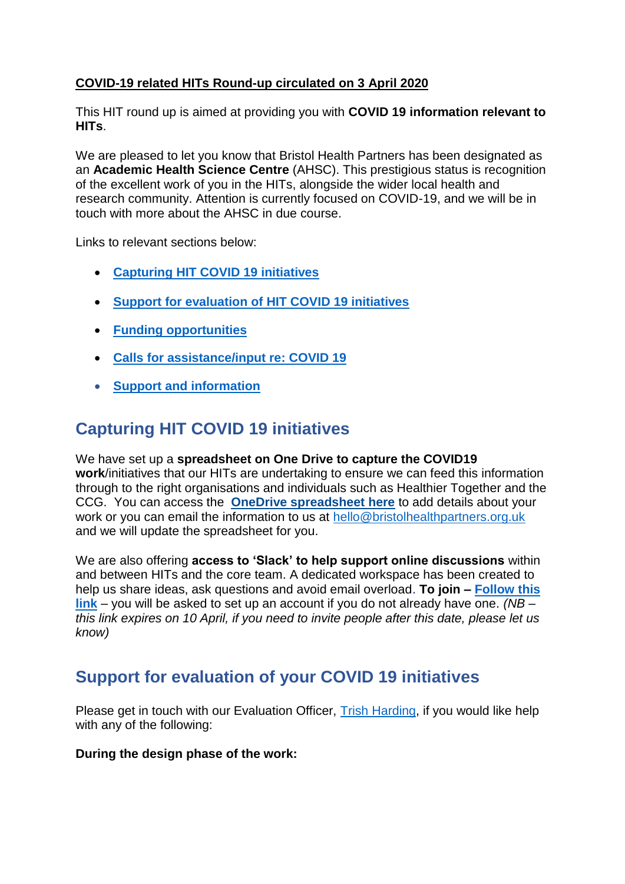## **COVID-19 related HITs Round-up circulated on 3 April 2020**

This HIT round up is aimed at providing you with **COVID 19 information relevant to HITs**.

We are pleased to let you know that Bristol Health Partners has been designated as an **Academic Health Science Centre** (AHSC). This prestigious status is recognition of the excellent work of you in the HITs, alongside the wider local health and research community. Attention is currently focused on COVID-19, and we will be in touch with more about the AHSC in due course.

Links to relevant sections below:

- **[Capturing HIT COVID 19 initiatives](#page-0-0)**
- **[Support for evaluation of HIT COVID 19 initiatives](#page-0-1)**
- **[Funding opportunities](#page-1-0)**
- **[Calls for assistance/input re: COVID 19](#page-2-0)**
- **[Support and information](#page-3-0)**

# <span id="page-0-0"></span>**Capturing HIT COVID 19 initiatives**

We have set up a **spreadsheet on One Drive to capture the COVID19 work**/initiatives that our HITs are undertaking to ensure we can feed this information through to the right organisations and individuals such as Healthier Together and the CCG. You can access the **[OneDrive spreadsheet here](https://uob-my.sharepoint.com/:x:/g/personal/ow8888_bristol_ac_uk/EccJ07q4-AJNtZ4Ehw6fxjwB12xloO6eTXgSK8sjquomXg?e=cs1c3Q)** to add details about your work or you can email the information to us at [hello@bristolhealthpartners.org.uk](mailto:hello@bristolhealthpartners.org.uk) and we will update the spreadsheet for you.

We are also offering **access to 'Slack' to help support online discussions** within and between HITs and the core team. A dedicated workspace has been created to help us share ideas, ask questions and avoid email overload. **To join – [Follow this](https://join.slack.com/t/bristolhealth-e9e1807/shared_invite/zt-cpwa5rz7-CTpD1R77LarwP9xpy7rofQ)  [link](https://join.slack.com/t/bristolhealth-e9e1807/shared_invite/zt-cpwa5rz7-CTpD1R77LarwP9xpy7rofQ)** – you will be asked to set up an account if you do not already have one. *(NB – this link expires on 10 April, if you need to invite people after this date, please let us know)*

## <span id="page-0-1"></span>**Support for evaluation of your COVID 19 initiatives**

Please get in touch with our Evaluation Officer, [Trish Harding,](mailto:trish.harding@bristol.ac.uk) if you would like help with any of the following:

#### **During the design phase of the work:**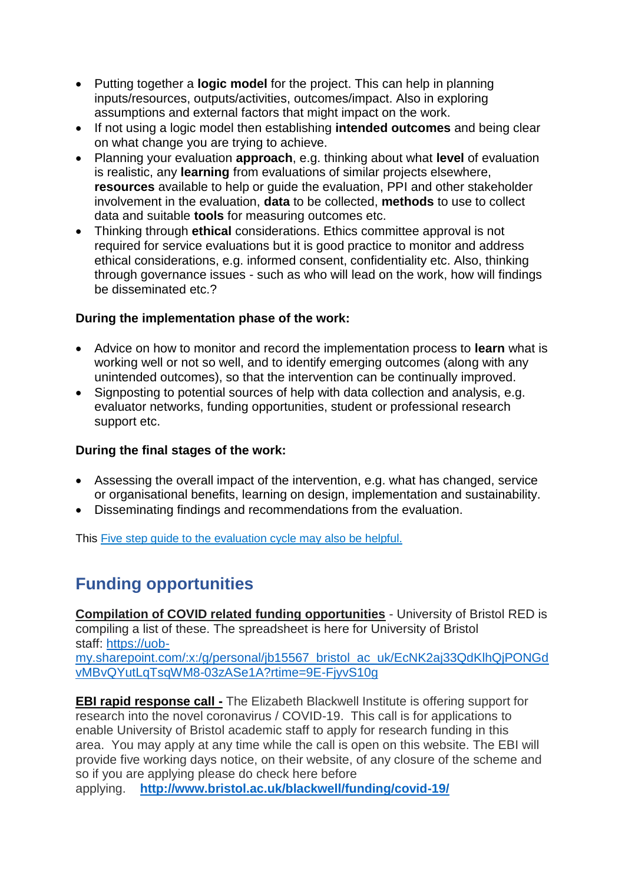- Putting together a **logic model** for the project. This can help in planning inputs/resources, outputs/activities, outcomes/impact. Also in exploring assumptions and external factors that might impact on the work.
- If not using a logic model then establishing **intended outcomes** and being clear on what change you are trying to achieve.
- Planning your evaluation **approach**, e.g. thinking about what **level** of evaluation is realistic, any **learning** from evaluations of similar projects elsewhere, **resources** available to help or guide the evaluation, PPI and other stakeholder involvement in the evaluation, **data** to be collected, **methods** to use to collect data and suitable **tools** for measuring outcomes etc.
- Thinking through **ethical** considerations. Ethics committee approval is not required for service evaluations but it is good practice to monitor and address ethical considerations, e.g. informed consent, confidentiality etc. Also, thinking through governance issues - such as who will lead on the work, how will findings be disseminated etc.?

### **During the implementation phase of the work:**

- Advice on how to monitor and record the implementation process to **learn** what is working well or not so well, and to identify emerging outcomes (along with any unintended outcomes), so that the intervention can be continually improved.
- Signposting to potential sources of help with data collection and analysis, e.g. evaluator networks, funding opportunities, student or professional research support etc.

### **During the final stages of the work:**

- Assessing the overall impact of the intervention, e.g. what has changed, service or organisational benefits, learning on design, implementation and sustainability.
- Disseminating findings and recommendations from the evaluation.

This Five step guide to the [evaluation](http://www.nhsevaluationtoolkit.net/evaluation-cycle/) cycle may also be helpful.

# <span id="page-1-0"></span>**Funding opportunities**

**Compilation of COVID related funding opportunities** - University of Bristol RED is compiling a list of these. The spreadsheet is here for University of Bristol staff: [https://uob](https://uob-my.sharepoint.com/:x:/g/personal/jb15567_bristol_ac_uk/EcNK2aj33QdKlhQjPONGdvMBvQYutLqTsqWM8-03zASe1A?rtime=9E-FjyvS10g)[my.sharepoint.com/:x:/g/personal/jb15567\\_bristol\\_ac\\_uk/EcNK2aj33QdKlhQjPONGd](https://uob-my.sharepoint.com/:x:/g/personal/jb15567_bristol_ac_uk/EcNK2aj33QdKlhQjPONGdvMBvQYutLqTsqWM8-03zASe1A?rtime=9E-FjyvS10g)

[vMBvQYutLqTsqWM8-03zASe1A?rtime=9E-FjyvS10g](https://uob-my.sharepoint.com/:x:/g/personal/jb15567_bristol_ac_uk/EcNK2aj33QdKlhQjPONGdvMBvQYutLqTsqWM8-03zASe1A?rtime=9E-FjyvS10g) **EBI rapid response call -** The Elizabeth Blackwell Institute is offering support for

research into the novel coronavirus / COVID-19. This call is for applications to enable University of Bristol academic staff to apply for research funding in this area. You may apply at any time while the call is open on this website. The EBI will provide five working days notice, on their website, of any closure of the scheme and so if you are applying please do check here before

applying. **<http://www.bristol.ac.uk/blackwell/funding/covid-19/>**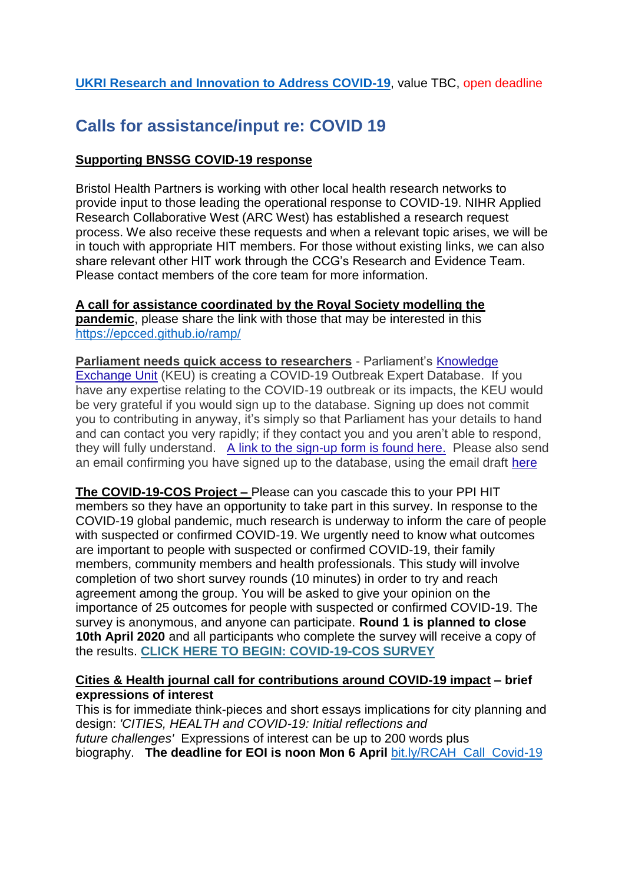### **[UKRI Research and Innovation to Address COVID-19](https://uob.sharepoint.com/sites/bpi/_layouts/15/Event.aspx?ListGuid=1cfbd671-617e-49f6-935a-6936ba0e4eba&ItemId=80)**, value TBC, open deadline

## <span id="page-2-0"></span>**Calls for assistance/input re: COVID 19**

### **Supporting BNSSG COVID-19 response**

Bristol Health Partners is working with other local health research networks to provide input to those leading the operational response to COVID-19. NIHR Applied Research Collaborative West (ARC West) has established a research request process. We also receive these requests and when a relevant topic arises, we will be in touch with appropriate HIT members. For those without existing links, we can also share relevant other HIT work through the CCG's Research and Evidence Team. Please contact members of the core team for more information.

**A call for assistance coordinated by the Royal Society modelling the pandemic**, please share the link with those that may be interested in this <https://epcced.github.io/ramp/>

**Parliament needs quick access to researchers** - Parliament's [Knowledge](https://bris.us3.list-manage.com/track/click?u=9f82b9116f17fe1114d2c6c82&id=2bdceab9f3&e=9cc012bd6a)  [Exchange Unit](https://bris.us3.list-manage.com/track/click?u=9f82b9116f17fe1114d2c6c82&id=2bdceab9f3&e=9cc012bd6a) (KEU) is creating a COVID-19 Outbreak Expert Database. If you have any expertise relating to the COVID-19 outbreak or its impacts, the KEU would be very grateful if you would sign up to the database. Signing up does not commit you to contributing in anyway, it's simply so that Parliament has your details to hand and can contact you very rapidly; if they contact you and you aren't able to respond, they will fully understand. [A link to the sign-up form is found here.](https://bris.us3.list-manage.com/track/click?u=9f82b9116f17fe1114d2c6c82&id=dcf182602a&e=9cc012bd6a) Please also send an email confirming you have signed up to the database, using the email draft [here](mailto:policy-bris@bristol.ac.uk?subject=Covid-19%20Database%20Signup&body=Dear%20PolicyBristol%2C%20%0A%0APlease%20use%20this%20email%20as%20confirmation%20of%20my%20signing%20up%20to%20the%20Covid-19%20KEU%20database.%20)

**The COVID-19-COS Project –** Please can you cascade this to your PPI HIT members so they have an opportunity to take part in this survey. In response to the COVID-19 global pandemic, much research is underway to inform the care of people with suspected or confirmed COVID-19. We urgently need to know what outcomes are important to people with suspected or confirmed COVID-19, their family members, community members and health professionals. This study will involve completion of two short survey rounds (10 minutes) in order to try and reach agreement among the group. You will be asked to give your opinion on the importance of 25 outcomes for people with suspected or confirmed COVID-19. The survey is anonymous, and anyone can participate. **Round 1 is planned to close 10th April 2020** and all participants who complete the survey will receive a copy of the results. **[CLICK HERE TO BEGIN: COVID-19-COS SURVEY](https://sydneypublichealth.au1.qualtrics.com/jfe/form/SV_1AmgErWpIJVSAYd)**

#### **Cities & Health journal call for contributions around COVID-19 impact – brief expressions of interest**

This is for immediate think-pieces and short essays implications for city planning and design: *'CITIES, HEALTH and COVID-19: Initial reflections and future challenges'* Expressions of interest can be up to 200 words plus biography. **The deadline for EOI is noon Mon 6 April** [bit.ly/RCAH\\_Call\\_Covid-19](http://bit.ly/RCAH_Call_Covid-19)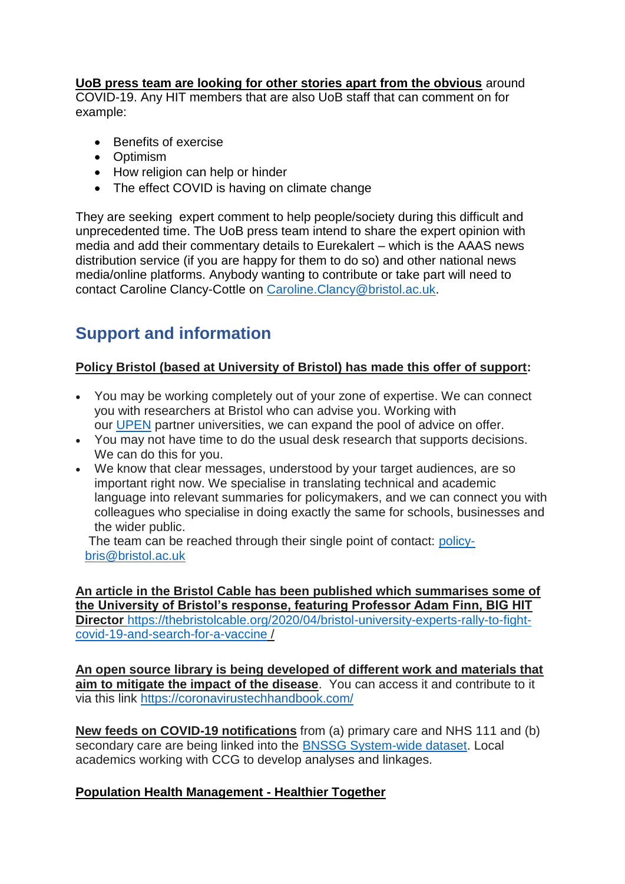### **UoB press team are looking for other stories apart from the obvious** around

COVID-19. Any HIT members that are also UoB staff that can comment on for example:

- Benefits of exercise
- **•** Optimism
- How religion can help or hinder
- The effect COVID is having on climate change

They are seeking expert comment to help people/society during this difficult and unprecedented time. The UoB press team intend to share the expert opinion with media and add their commentary details to Eurekalert – which is the AAAS news distribution service (if you are happy for them to do so) and other national news media/online platforms. Anybody wanting to contribute or take part will need to contact Caroline Clancy-Cottle on [Caroline.Clancy@bristol.ac.uk.](mailto:Caroline.Clancy@bristol.ac.uk)

# <span id="page-3-0"></span>**Support and information**

## **Policy Bristol (based at University of Bristol) has made this offer of support:**

- You may be working completely out of your zone of expertise. We can connect you with researchers at Bristol who can advise you. Working with our [UPEN](https://www.upen.ac.uk/) partner universities, we can expand the pool of advice on offer.
- You may not have time to do the usual desk research that supports decisions. We can do this for you.
- We know that clear messages, understood by your target audiences, are so important right now. We specialise in translating technical and academic language into relevant summaries for policymakers, and we can connect you with colleagues who specialise in doing exactly the same for schools, businesses and the wider public.

The team can be reached through their single point of contact: [policy](mailto:policy-bris@bristol.ac.uk)[bris@bristol.ac.uk](mailto:policy-bris@bristol.ac.uk)

**An article in the Bristol Cable has been published which summarises some of the University of Bristol's response, featuring Professor Adam Finn, BIG HIT Director** [https://thebristolcable.org/2020/04/bristol-university-experts-rally-to-fight](https://thebristolcable.org/2020/04/bristol-university-experts-rally-to-fight-covid-19-and-search-for-a-vaccine)[covid-19-and-search-for-a-vaccine](https://thebristolcable.org/2020/04/bristol-university-experts-rally-to-fight-covid-19-and-search-for-a-vaccine) /

**An open source library is being developed of different work and materials that aim to mitigate the impact of the disease**. You can access it and contribute to it via this link <https://coronavirustechhandbook.com/>

**New feeds on COVID-19 notifications** from (a) primary care and NHS 111 and (b) secondary care are being linked into the [BNSSG System-wide dataset.](https://bnssghealthiertogether.org.uk/population-health-management/) Local academics working with CCG to develop analyses and linkages.

### **[Population Health Management -](https://bnssghealthiertogether.org.uk/population-health-management/) Healthier Together**